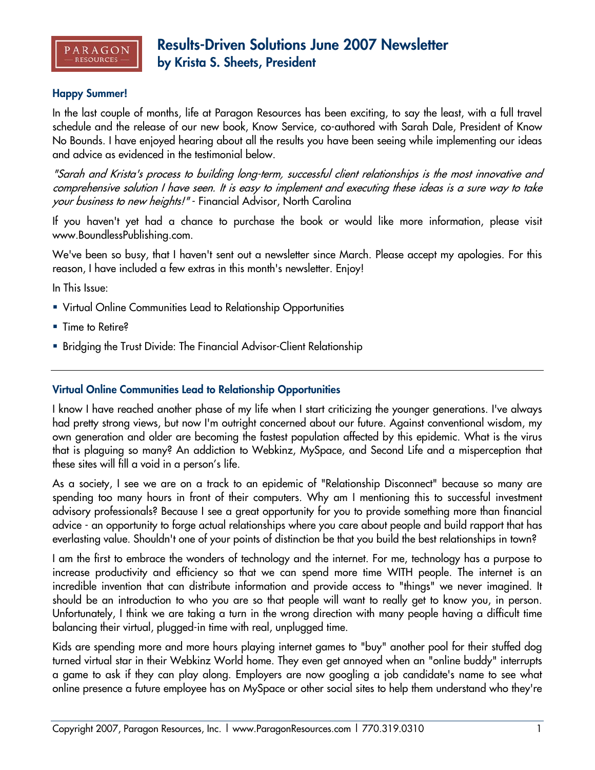

### **Happy Summer!**

In the last couple of months, life at Paragon Resources has been exciting, to say the least, with a full travel schedule and the release of our new book, Know Service, co-authored with Sarah Dale, President of Know No Bounds. I have enjoyed hearing about all the results you have been seeing while implementing our ideas and advice as evidenced in the testimonial below.

"Sarah and Krista's process to building long-term, successful client relationships is the most innovative and comprehensive solution I have seen. It is easy to implement and executing these ideas is a sure way to take your business to new heights!" - Financial Advisor, North Carolina

If you haven't yet had a chance to purchase the book or would like more information, please visit www.BoundlessPublishing.com.

We've been so busy, that I haven't sent out a newsletter since March. Please accept my apologies. For this reason, I have included a few extras in this month's newsletter. Enjoy!

In This Issue:

- Virtual Online Communities Lead to Relationship Opportunities
- Time to Retire?
- Bridging the Trust Divide: The Financial Advisor-Client Relationship

#### **Virtual Online Communities Lead to Relationship Opportunities**

I know I have reached another phase of my life when I start criticizing the younger generations. I've always had pretty strong views, but now I'm outright concerned about our future. Against conventional wisdom, my own generation and older are becoming the fastest population affected by this epidemic. What is the virus that is plaguing so many? An addiction to Webkinz, MySpace, and Second Life and a misperception that these sites will fill a void in a person's life.

As a society, I see we are on a track to an epidemic of "Relationship Disconnect" because so many are spending too many hours in front of their computers. Why am I mentioning this to successful investment advisory professionals? Because I see a great opportunity for you to provide something more than financial advice - an opportunity to forge actual relationships where you care about people and build rapport that has everlasting value. Shouldn't one of your points of distinction be that you build the best relationships in town?

I am the first to embrace the wonders of technology and the internet. For me, technology has a purpose to increase productivity and efficiency so that we can spend more time WITH people. The internet is an incredible invention that can distribute information and provide access to "things" we never imagined. It should be an introduction to who you are so that people will want to really get to know you, in person. Unfortunately, I think we are taking a turn in the wrong direction with many people having a difficult time balancing their virtual, plugged-in time with real, unplugged time.

Kids are spending more and more hours playing internet games to "buy" another pool for their stuffed dog turned virtual star in their Webkinz World home. They even get annoyed when an "online buddy" interrupts a game to ask if they can play along. Employers are now googling a job candidate's name to see what online presence a future employee has on MySpace or other social sites to help them understand who they're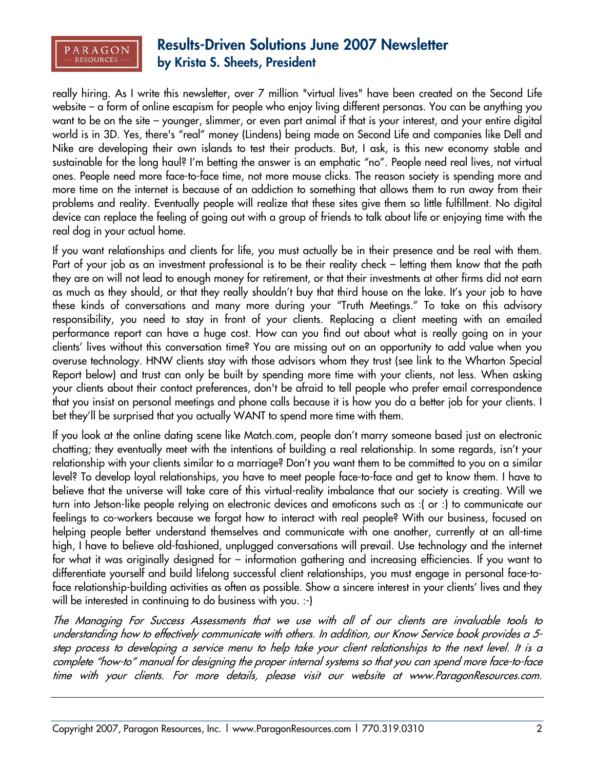

really hiring. As I write this newsletter, over 7 million "virtual lives" have been created on the Second Life website – a form of online escapism for people who enjoy living different personas. You can be anything you want to be on the site – younger, slimmer, or even part animal if that is your interest, and your entire digital world is in 3D. Yes, there's "real" money (Lindens) being made on Second Life and companies like Dell and Nike are developing their own islands to test their products. But, I ask, is this new economy stable and sustainable for the long haul? I'm betting the answer is an emphatic "no". People need real lives, not virtual ones. People need more face-to-face time, not more mouse clicks. The reason society is spending more and more time on the internet is because of an addiction to something that allows them to run away from their problems and reality. Eventually people will realize that these sites give them so little fulfillment. No digital device can replace the feeling of going out with a group of friends to talk about life or enjoying time with the real dog in your actual home.

If you want relationships and clients for life, you must actually be in their presence and be real with them. Part of your job as an investment professional is to be their reality check – letting them know that the path they are on will not lead to enough money for retirement, or that their investments at other firms did not earn as much as they should, or that they really shouldn't buy that third house on the lake. It's your job to have these kinds of conversations and many more during your "Truth Meetings." To take on this advisory responsibility, you need to stay in front of your clients. Replacing a client meeting with an emailed performance report can have a huge cost. How can you find out about what is really going on in your clients' lives without this conversation time? You are missing out on an opportunity to add value when you overuse technology. HNW clients stay with those advisors whom they trust (see link to the Wharton Special Report below) and trust can only be built by spending more time with your clients, not less. When asking your clients about their contact preferences, don't be afraid to tell people who prefer email correspondence that you insist on personal meetings and phone calls because it is how you do a better job for your clients. I bet they'll be surprised that you actually WANT to spend more time with them.

If you look at the online dating scene like Match.com, people don't marry someone based just on electronic chatting; they eventually meet with the intentions of building a real relationship. In some regards, isn't your relationship with your clients similar to a marriage? Don't you want them to be committed to you on a similar level? To develop loyal relationships, you have to meet people face-to-face and get to know them. I have to believe that the universe will take care of this virtual-reality imbalance that our society is creating. Will we turn into Jetson-like people relying on electronic devices and emoticons such as :( or :) to communicate our feelings to co-workers because we forgot how to interact with real people? With our business, focused on helping people better understand themselves and communicate with one another, currently at an all-time high, I have to believe old-fashioned, unplugged conversations will prevail. Use technology and the internet for what it was originally designed for – information gathering and increasing efficiencies. If you want to differentiate yourself and build lifelong successful client relationships, you must engage in personal face-toface relationship-building activities as often as possible. Show a sincere interest in your clients' lives and they will be interested in continuing to do business with you. :-)

The Managing For Success Assessments that we use with all of our clients are invaluable tools to understanding how to effectively communicate with others. In addition, our Know Service book provides a 5 step process to developing a service menu to help take your client relationships to the next level. It is a complete "how-to" manual for designing the proper internal systems so that you can spend more face-to-face time with your clients. For more details, please visit our website at www.ParagonResources.com.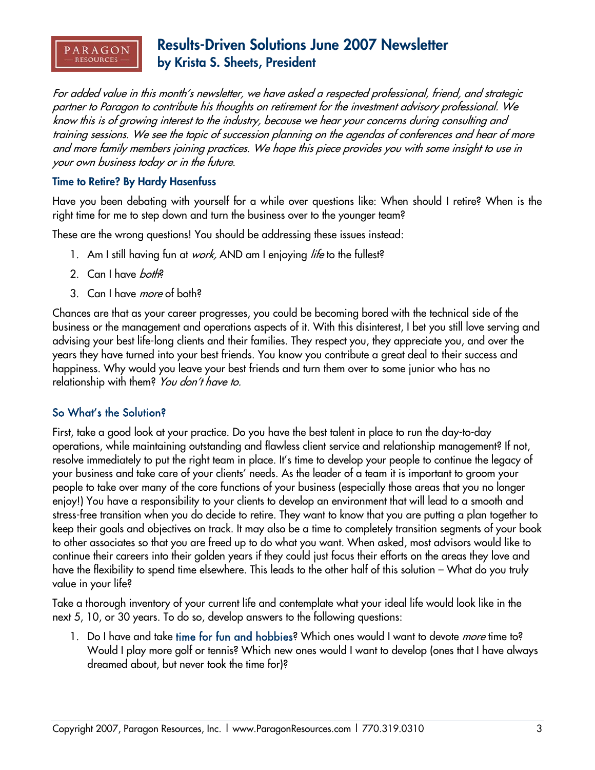

For added value in this month's newsletter, we have asked a respected professional, friend, and strategic partner to Paragon to contribute his thoughts on retirement for the investment advisory professional. We know this is of growing interest to the industry, because we hear your concerns during consulting and training sessions. We see the topic of succession planning on the agendas of conferences and hear of more and more family members joining practices. We hope this piece provides you with some insight to use in your own business today or in the future.

### **Time to Retire? By Hardy Hasenfuss**

Have you been debating with yourself for a while over questions like: When should I retire? When is the right time for me to step down and turn the business over to the younger team?

These are the wrong questions! You should be addressing these issues instead:

- 1. Am I still having fun at *work*, AND am I enjoying *life* to the fullest?
- 2. Can I have *both*?
- 3. Can I have *more* of both?

Chances are that as your career progresses, you could be becoming bored with the technical side of the business or the management and operations aspects of it. With this disinterest, I bet you still love serving and advising your best life-long clients and their families. They respect you, they appreciate you, and over the years they have turned into your best friends. You know you contribute a great deal to their success and happiness. Why would you leave your best friends and turn them over to some junior who has no relationship with them? You don't have to.

## So What's the Solution?

First, take a good look at your practice. Do you have the best talent in place to run the day-to-day operations, while maintaining outstanding and flawless client service and relationship management? If not, resolve immediately to put the right team in place. It's time to develop your people to continue the legacy of your business and take care of your clients' needs. As the leader of a team it is important to groom your people to take over many of the core functions of your business (especially those areas that you no longer enjoy!) You have a responsibility to your clients to develop an environment that will lead to a smooth and stress-free transition when you do decide to retire. They want to know that you are putting a plan together to keep their goals and objectives on track. It may also be a time to completely transition segments of your book to other associates so that you are freed up to do what you want. When asked, most advisors would like to continue their careers into their golden years if they could just focus their efforts on the areas they love and have the flexibility to spend time elsewhere. This leads to the other half of this solution – What do you truly value in your life?

Take a thorough inventory of your current life and contemplate what your ideal life would look like in the next 5, 10, or 30 years. To do so, develop answers to the following questions:

1. Do I have and take time for fun and hobbies? Which ones would I want to devote *more* time to? Would I play more golf or tennis? Which new ones would I want to develop (ones that I have always dreamed about, but never took the time for)?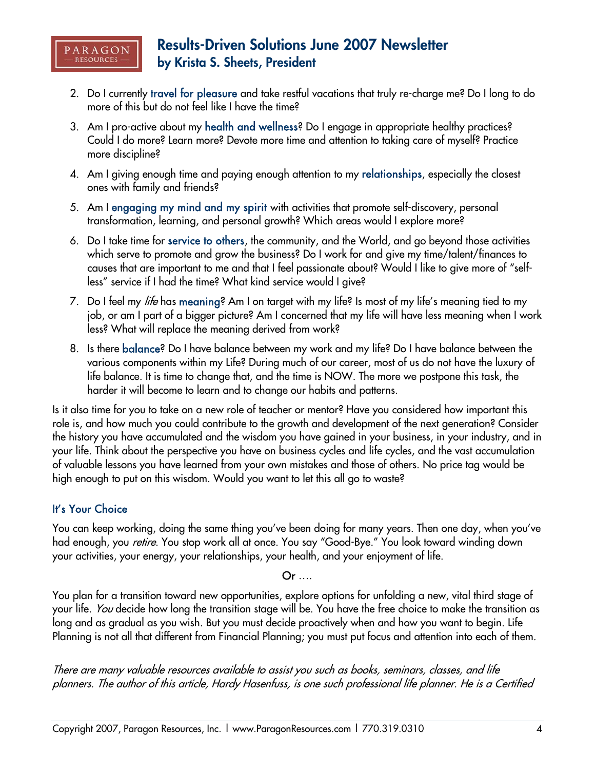

- 2. Do I currently travel for pleasure and take restful vacations that truly re-charge me? Do I long to do more of this but do not feel like I have the time?
- 3. Am I pro-active about my health and wellness? Do I engage in appropriate healthy practices? Could I do more? Learn more? Devote more time and attention to taking care of myself? Practice more discipline?
- 4. Am I giving enough time and paying enough attention to my relationships, especially the closest ones with family and friends?
- 5. Am I engaging my mind and my spirit with activities that promote self-discovery, personal transformation, learning, and personal growth? Which areas would I explore more?
- 6. Do I take time for service to others, the community, and the World, and go beyond those activities which serve to promote and grow the business? Do I work for and give my time/talent/finances to causes that are important to me and that I feel passionate about? Would I like to give more of "selfless" service if I had the time? What kind service would I give?
- 7. Do I feel my *life* has meaning? Am I on target with my life? Is most of my life's meaning tied to my job, or am I part of a bigger picture? Am I concerned that my life will have less meaning when I work less? What will replace the meaning derived from work?
- 8. Is there balance? Do I have balance between my work and my life? Do I have balance between the various components within my Life? During much of our career, most of us do not have the luxury of life balance. It is time to change that, and the time is NOW. The more we postpone this task, the harder it will become to learn and to change our habits and patterns.

Is it also time for you to take on a new role of teacher or mentor? Have you considered how important this role is, and how much you could contribute to the growth and development of the next generation? Consider the history you have accumulated and the wisdom you have gained in your business, in your industry, and in your life. Think about the perspective you have on business cycles and life cycles, and the vast accumulation of valuable lessons you have learned from your own mistakes and those of others. No price tag would be high enough to put on this wisdom. Would you want to let this all go to waste?

## It's Your Choice

You can keep working, doing the same thing you've been doing for many years. Then one day, when you've had enough, you *retire*. You stop work all at once. You say "Good-Bye." You look toward winding down your activities, your energy, your relationships, your health, and your enjoyment of life.

## Or ….

You plan for a transition toward new opportunities, explore options for unfolding a new, vital third stage of your life. You decide how long the transition stage will be. You have the free choice to make the transition as long and as gradual as you wish. But you must decide proactively when and how you want to begin. Life Planning is not all that different from Financial Planning; you must put focus and attention into each of them.

There are many valuable resources available to assist you such as books, seminars, classes, and life planners. The author of this article, Hardy Hasenfuss, is one such professional life planner. He is a Certified